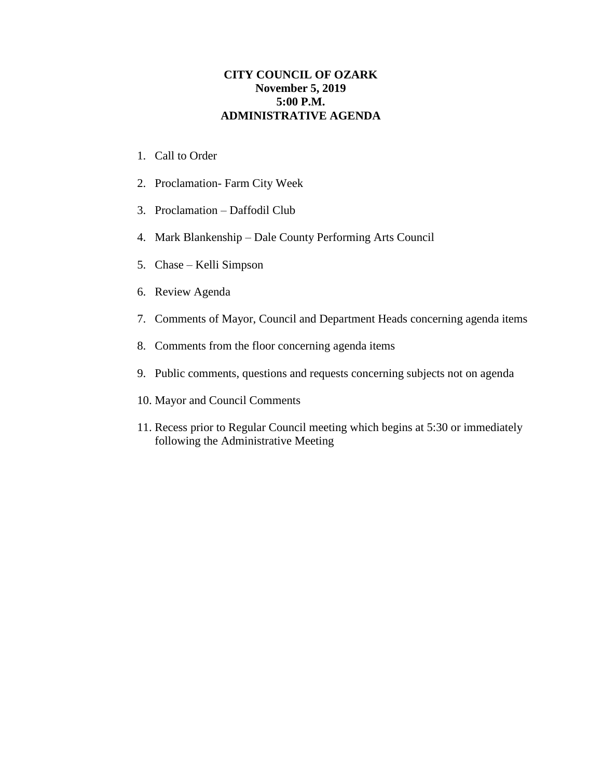## **CITY COUNCIL OF OZARK November 5, 2019 5:00 P.M. ADMINISTRATIVE AGENDA**

- 1. Call to Order
- 2. Proclamation- Farm City Week
- 3. Proclamation Daffodil Club
- 4. Mark Blankenship Dale County Performing Arts Council
- 5. Chase Kelli Simpson
- 6. Review Agenda
- 7. Comments of Mayor, Council and Department Heads concerning agenda items
- 8. Comments from the floor concerning agenda items
- 9. Public comments, questions and requests concerning subjects not on agenda
- 10. Mayor and Council Comments
- 11. Recess prior to Regular Council meeting which begins at 5:30 or immediately following the Administrative Meeting